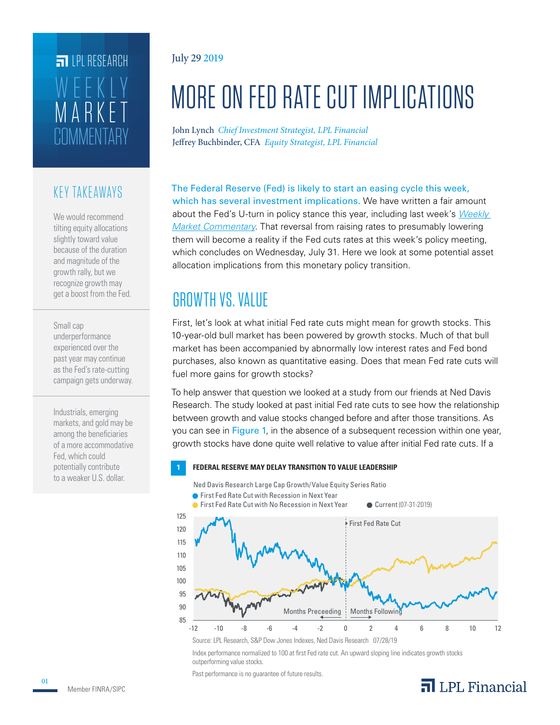# **COMMENTARY** MARKET WEEKLY **FILPI RESEARCH**

#### KEY TAKEAWAYS

We would recommend tilting equity allocations slightly toward value because of the duration and magnitude of the growth rally, but we recognize growth may get a boost from the Fed.

#### Small cap

underperformance experienced over the past year may continue as the Fed's rate-cutting campaign gets underway.

Industrials, emerging markets, and gold may be among the beneficiaries of a more accommodative Fed, which could potentially contribute to a weaker U.S. dollar.

#### July 29 2019

# MORE ON FED RATE CUT IMPLICATIONS

John Lynch *Chief Investment Strategist, LPL Financial* Jeffrey Buchbinder, CFA *Equity Strategist, LPL Financial*

The Federal Reserve (Fed) is likely to start an easing cycle this week, which has several investment implications. We have written a fair amount about the Fed's U-turn in policy stance this year, including last week's *Weekly Market Commentary*. That reversal from raising rates to presumably lowering them will become a reality if the Fed cuts rates at this week's policy meeting, which concludes on Wednesday, July 31. Here we look at some potential asset allocation implications from this monetary policy transition.

# GROWTH VS. VALUE

First, let's look at what initial Fed rate cuts might mean for growth stocks. This 10-year-old bull market has been powered by growth stocks. Much of that bull market has been accompanied by abnormally low interest rates and Fed bond purchases, also known as quantitative easing. Does that mean Fed rate cuts will fuel more gains for growth stocks?

To help answer that question we looked at a study from our friends at Ned Davis Research. The study looked at past initial Fed rate cuts to see how the relationship between growth and value stocks changed before and after those transitions. As you can see in Figure 1, in the absence of a subsequent recession within one year, growth stocks have done quite well relative to value after initial Fed rate cuts. If a

#### **1 FEDERAL RESERVE MAY DELAY TRANSITION TO VALUE LEADERSHIP**

Ned Davis Research Large Cap Growth/Value Equity Series Ratio

● First Fed Rate Cut with Recession in Next Year



Source: LPL Research, S&P Dow Jones Indexes, Ned Davis Research 07/28/19

Index performance normalized to 100 at first Fed rate cut. An upward sloping line indicates growth stocks outperforming value stocks.

Past performance is no guarantee of future results.

## $\overline{\mathbf{a}}$  LPL Financial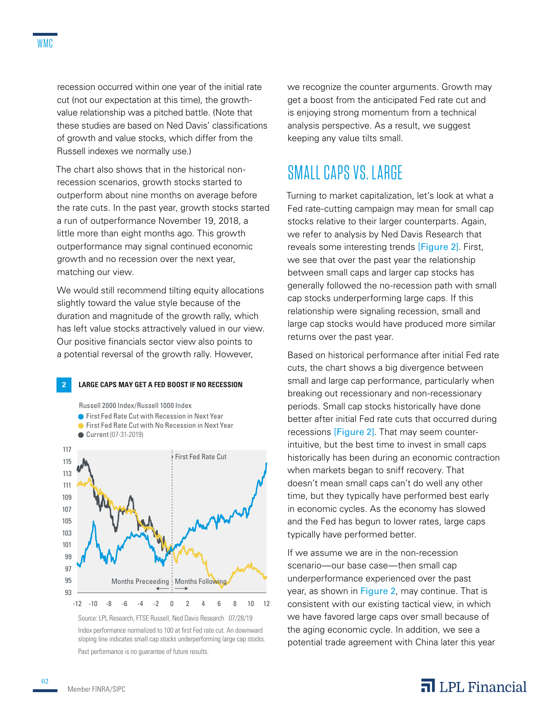recession occurred within one year of the initial rate cut (not our expectation at this time), the growthvalue relationship was a pitched battle. (Note that these studies are based on Ned Davis' classifications of growth and value stocks, which differ from the Russell indexes we normally use.)

The chart also shows that in the historical nonrecession scenarios, growth stocks started to outperform about nine months on average before the rate cuts. In the past year, growth stocks started a run of outperformance November 19, 2018, a little more than eight months ago. This growth outperformance may signal continued economic growth and no recession over the next year, matching our view.

We would still recommend tilting equity allocations slightly toward the value style because of the duration and magnitude of the growth rally, which has left value stocks attractively valued in our view. Our positive financials sector view also points to a potential reversal of the growth rally. However,



Russell 2000 Index/Russell 1000 Index

- First Fed Rate Cut with Recession in Next Year
- **C** First Fed Rate Cut with No Recession in Next Year
- Current (07-31-2019)



Source: LPL Research, FTSE Russell, Ned Davis Research 07/28/19 Index performance normalized to 100 at first Fed rate cut. An downward sloping line indicates small cap stocks underperforming large cap stocks. Past performance is no guarantee of future results.

we recognize the counter arguments. Growth may get a boost from the anticipated Fed rate cut and is enjoying strong momentum from a technical analysis perspective. As a result, we suggest keeping any value tilts small.

### SMALL CAPS VS. LARGE

Turning to market capitalization, let's look at what a Fed rate-cutting campaign may mean for small cap stocks relative to their larger counterparts. Again, we refer to analysis by Ned Davis Research that reveals some interesting trends [Figure 2]. First, we see that over the past year the relationship between small caps and larger cap stocks has generally followed the no-recession path with small cap stocks underperforming large caps. If this relationship were signaling recession, small and large cap stocks would have produced more similar returns over the past year.

Based on historical performance after initial Fed rate cuts, the chart shows a big divergence between small and large cap performance, particularly when breaking out recessionary and non-recessionary periods. Small cap stocks historically have done better after initial Fed rate cuts that occurred during recessions [Figure 2]. That may seem counterintuitive, but the best time to invest in small caps historically has been during an economic contraction when markets began to sniff recovery. That doesn't mean small caps can't do well any other time, but they typically have performed best early in economic cycles. As the economy has slowed and the Fed has begun to lower rates, large caps typically have performed better.

If we assume we are in the non-recession scenario—our base case—then small cap underperformance experienced over the past year, as shown in Figure 2, may continue. That is consistent with our existing tactical view, in which we have favored large caps over small because of the aging economic cycle. In addition, we see a potential trade agreement with China later this year

#### $\overline{\mathbf{a}}$  LPL Financial

02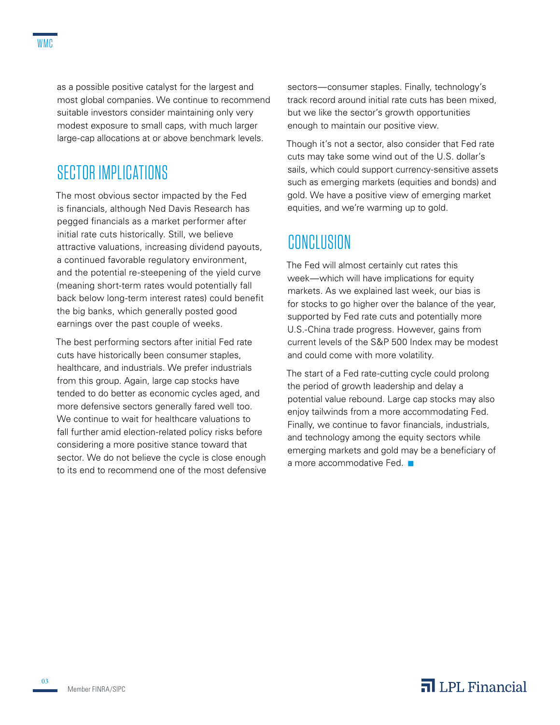as a possible positive catalyst for the largest and most global companies. We continue to recommend suitable investors consider maintaining only very modest exposure to small caps, with much larger large-cap allocations at or above benchmark levels.

### SECTOR IMPLICATIONS

The most obvious sector impacted by the Fed is financials, although Ned Davis Research has pegged financials as a market performer after initial rate cuts historically. Still, we believe attractive valuations, increasing dividend payouts, a continued favorable regulatory environment, and the potential re-steepening of the yield curve (meaning short-term rates would potentially fall back below long-term interest rates) could benefit the big banks, which generally posted good earnings over the past couple of weeks.

The best performing sectors after initial Fed rate cuts have historically been consumer staples, healthcare, and industrials. We prefer industrials from this group. Again, large cap stocks have tended to do better as economic cycles aged, and more defensive sectors generally fared well too. We continue to wait for healthcare valuations to fall further amid election-related policy risks before considering a more positive stance toward that sector. We do not believe the cycle is close enough to its end to recommend one of the most defensive sectors—consumer staples. Finally, technology's track record around initial rate cuts has been mixed, but we like the sector's growth opportunities enough to maintain our positive view.

Though it's not a sector, also consider that Fed rate cuts may take some wind out of the U.S. dollar's sails, which could support currency-sensitive assets such as emerging markets (equities and bonds) and gold. We have a positive view of emerging market equities, and we're warming up to gold.

### **CONCLUSION**

The Fed will almost certainly cut rates this week—which will have implications for equity markets. As we explained last week, our bias is for stocks to go higher over the balance of the year, supported by Fed rate cuts and potentially more U.S.-China trade progress. However, gains from current levels of the S&P 500 Index may be modest and could come with more volatility.

The start of a Fed rate-cutting cycle could prolong the period of growth leadership and delay a potential value rebound. Large cap stocks may also enjoy tailwinds from a more accommodating Fed. Finally, we continue to favor financials, industrials, and technology among the equity sectors while emerging markets and gold may be a beneficiary of a more accommodative Fed.  $\blacksquare$ 

#### $\overline{\mathbf{a}}$  LPL Financial